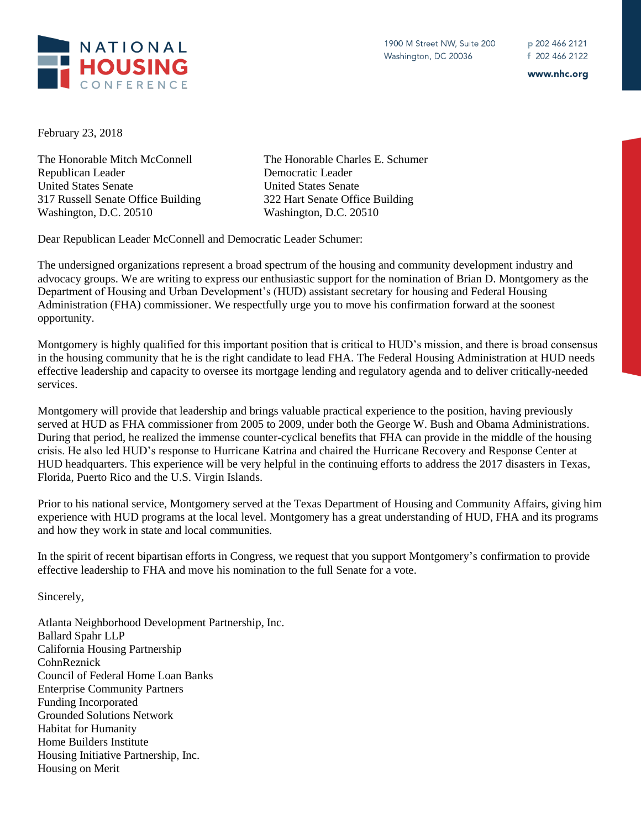

www.nhc.org

February 23, 2018

The Honorable Mitch McConnell The Honorable Charles E. Schumer Republican Leader Democratic Leader United States Senate United States Senate 317 Russell Senate Office Building 322 Hart Senate Office Building Washington, D.C. 20510 Washington, D.C. 20510

Dear Republican Leader McConnell and Democratic Leader Schumer:

The undersigned organizations represent a broad spectrum of the housing and community development industry and advocacy groups. We are writing to express our enthusiastic support for the nomination of Brian D. Montgomery as the Department of Housing and Urban Development's (HUD) assistant secretary for housing and Federal Housing Administration (FHA) commissioner. We respectfully urge you to move his confirmation forward at the soonest opportunity.

Montgomery is highly qualified for this important position that is critical to HUD's mission, and there is broad consensus in the housing community that he is the right candidate to lead FHA. The Federal Housing Administration at HUD needs effective leadership and capacity to oversee its mortgage lending and regulatory agenda and to deliver critically-needed services.

Montgomery will provide that leadership and brings valuable practical experience to the position, having previously served at HUD as FHA commissioner from 2005 to 2009, under both the George W. Bush and Obama Administrations. During that period, he realized the immense counter-cyclical benefits that FHA can provide in the middle of the housing crisis. He also led HUD's response to Hurricane Katrina and chaired the Hurricane Recovery and Response Center at HUD headquarters. This experience will be very helpful in the continuing efforts to address the 2017 disasters in Texas, Florida, Puerto Rico and the U.S. Virgin Islands.

Prior to his national service, Montgomery served at the Texas Department of Housing and Community Affairs, giving him experience with HUD programs at the local level. Montgomery has a great understanding of HUD, FHA and its programs and how they work in state and local communities.

In the spirit of recent bipartisan efforts in Congress, we request that you support Montgomery's confirmation to provide effective leadership to FHA and move his nomination to the full Senate for a vote.

Sincerely,

Atlanta Neighborhood Development Partnership, Inc. Ballard Spahr LLP California Housing Partnership CohnReznick Council of Federal Home Loan Banks Enterprise Community Partners Funding Incorporated Grounded Solutions Network Habitat for Humanity Home Builders Institute Housing Initiative Partnership, Inc. Housing on Merit